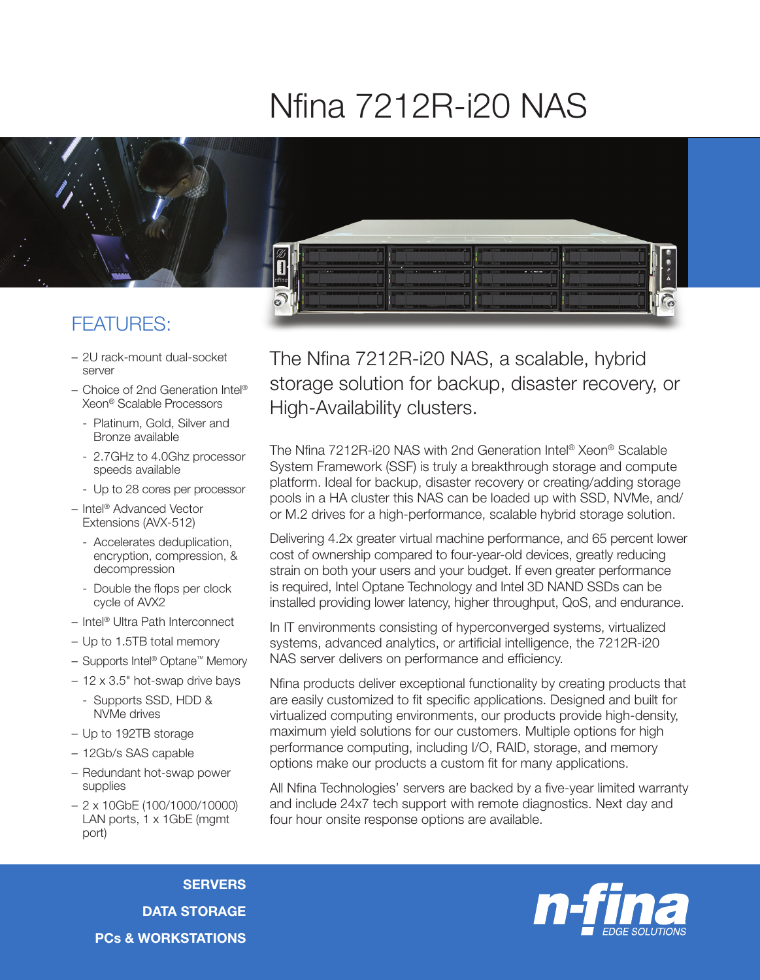## Nfina 7212R-i20 NAS



## FEATURES:

- 2U rack-mount dual-socket server
- Choice of 2nd Generation Intel® Xeon® Scalable Processors
	- Platinum, Gold, Silver and Bronze available
	- 2.7GHz to 4.0Ghz processor speeds available
	- Up to 28 cores per processor
- Intel® Advanced Vector Extensions (AVX-512)
	- Accelerates deduplication, encryption, compression, & decompression
	- Double the flops per clock cycle of AVX2
- Intel® Ultra Path Interconnect
- Up to 1.5TB total memory
- Supports Intel® Optane™ Memory
- 12 x 3.5" hot-swap drive bays
	- Supports SSD, HDD & NVMe drives
- Up to 192TB storage
- 12Gb/s SAS capable
- Redundant hot-swap power supplies
- 2 x 10GbE (100/1000/10000) LAN ports, 1 x 1GbE (mgmt) port)

The Nfina 7212R-i20 NAS, a scalable, hybrid storage solution for backup, disaster recovery, or High-Availability clusters.

The Nfina 7212R-i20 NAS with 2nd Generation Intel® Xeon® Scalable System Framework (SSF) is truly a breakthrough storage and compute platform. Ideal for backup, disaster recovery or creating/adding storage pools in a HA cluster this NAS can be loaded up with SSD, NVMe, and/ or M.2 drives for a high-performance, scalable hybrid storage solution.

Delivering 4.2x greater virtual machine performance, and 65 percent lower cost of ownership compared to four-year-old devices, greatly reducing strain on both your users and your budget. If even greater performance is required, Intel Optane Technology and Intel 3D NAND SSDs can be installed providing lower latency, higher throughput, QoS, and endurance.

In IT environments consisting of hyperconverged systems, virtualized systems, advanced analytics, or artificial intelligence, the 7212R-i20 NAS server delivers on performance and efficiency.

Nfina products deliver exceptional functionality by creating products that are easily customized to fit specific applications. Designed and built for virtualized computing environments, our products provide high-density, maximum yield solutions for our customers. Multiple options for high performance computing, including I/O, RAID, storage, and memory options make our products a custom fit for many applications.

All Nfina Technologies' servers are backed by a five-year limited warranty and include 24x7 tech support with remote diagnostics. Next day and four hour onsite response options are available.



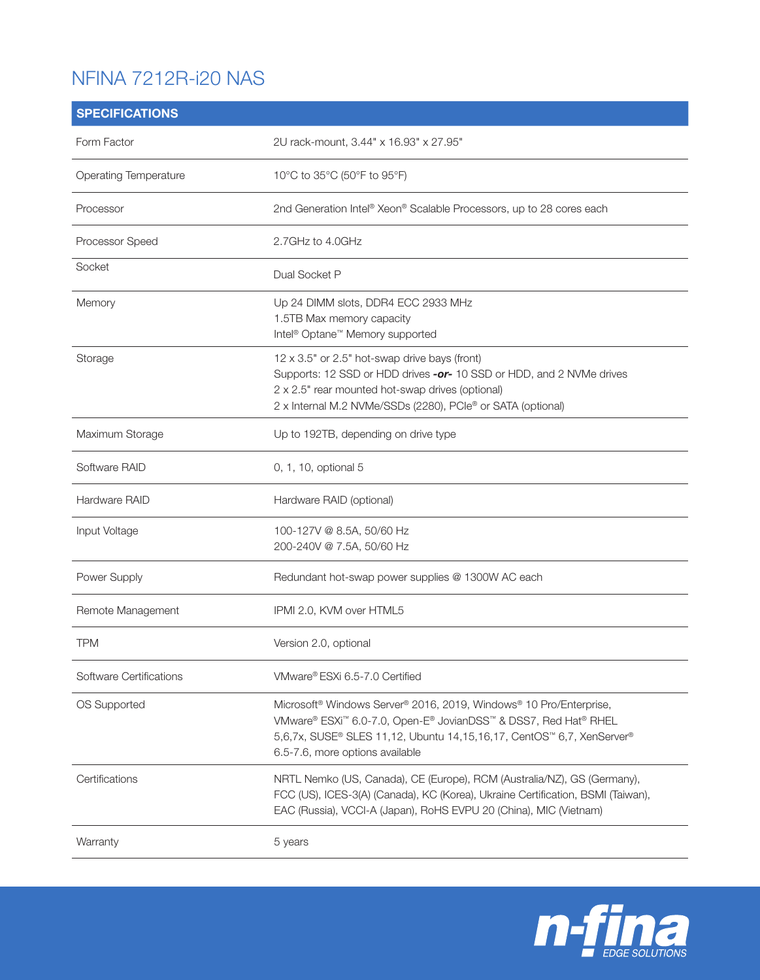## NFINA 7212R-i20 NAS

| <b>SPECIFICATIONS</b>        |                                                                                                                                                                                                                                                                                                   |
|------------------------------|---------------------------------------------------------------------------------------------------------------------------------------------------------------------------------------------------------------------------------------------------------------------------------------------------|
| Form Factor                  | 2U rack-mount, 3.44" x 16.93" x 27.95"                                                                                                                                                                                                                                                            |
| <b>Operating Temperature</b> | 10°C to 35°C (50°F to 95°F)                                                                                                                                                                                                                                                                       |
| Processor                    | 2nd Generation Intel® Xeon® Scalable Processors, up to 28 cores each                                                                                                                                                                                                                              |
| Processor Speed              | 2.7GHz to 4.0GHz                                                                                                                                                                                                                                                                                  |
| Socket                       | Dual Socket P                                                                                                                                                                                                                                                                                     |
| Memory                       | Up 24 DIMM slots, DDR4 ECC 2933 MHz<br>1.5TB Max memory capacity<br>Intel <sup>®</sup> Optane <sup>™</sup> Memory supported                                                                                                                                                                       |
| Storage                      | 12 x 3.5" or 2.5" hot-swap drive bays (front)<br>Supports: 12 SSD or HDD drives -or- 10 SSD or HDD, and 2 NVMe drives<br>2 x 2.5" rear mounted hot-swap drives (optional)<br>2 x Internal M.2 NVMe/SSDs (2280), PCIe® or SATA (optional)                                                          |
| Maximum Storage              | Up to 192TB, depending on drive type                                                                                                                                                                                                                                                              |
| Software RAID                | 0, 1, 10, optional 5                                                                                                                                                                                                                                                                              |
| Hardware RAID                | Hardware RAID (optional)                                                                                                                                                                                                                                                                          |
| Input Voltage                | 100-127V @ 8.5A, 50/60 Hz<br>200-240V @ 7.5A, 50/60 Hz                                                                                                                                                                                                                                            |
| Power Supply                 | Redundant hot-swap power supplies @ 1300W AC each                                                                                                                                                                                                                                                 |
| Remote Management            | IPMI 2.0, KVM over HTML5                                                                                                                                                                                                                                                                          |
| <b>TPM</b>                   | Version 2.0, optional                                                                                                                                                                                                                                                                             |
| Software Certifications      | VMware® ESXi 6.5-7.0 Certified                                                                                                                                                                                                                                                                    |
| OS Supported                 | Microsoft <sup>®</sup> Windows Server <sup>®</sup> 2016, 2019, Windows <sup>®</sup> 10 Pro/Enterprise,<br>VMware® ESXi <sup>™</sup> 6.0-7.0, Open-E® JovianDSS™ & DSS7, Red Hat® RHEL<br>5,6,7x, SUSE® SLES 11,12, Ubuntu 14,15,16,17, CentOS™ 6,7, XenServer®<br>6.5-7.6, more options available |
| Certifications               | NRTL Nemko (US, Canada), CE (Europe), RCM (Australia/NZ), GS (Germany),<br>FCC (US), ICES-3(A) (Canada), KC (Korea), Ukraine Certification, BSMI (Taiwan),<br>EAC (Russia), VCCI-A (Japan), RoHS EVPU 20 (China), MIC (Vietnam)                                                                   |
| Warranty                     | 5 years                                                                                                                                                                                                                                                                                           |